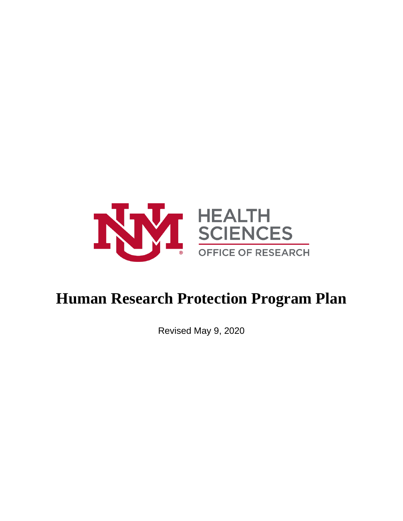

# **Human Research Protection Program Plan**

Revised May 9, 2020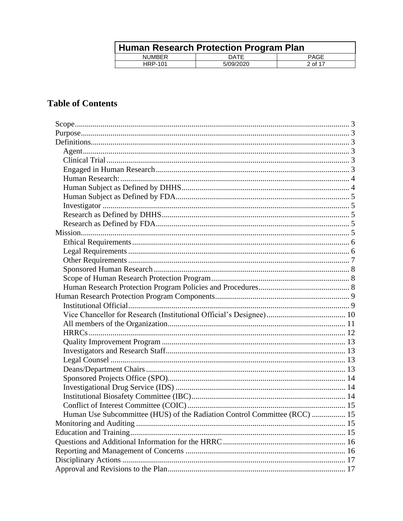| Human Research Protection Program Plan |             |             |  |
|----------------------------------------|-------------|-------------|--|
| <b>NUMBER</b>                          | <b>DATE</b> | <b>PAGE</b> |  |
| <b>HRP-101</b>                         | 5/09/2020   | 2 of 17     |  |

# **Table of Contents**

| Human Use Subcommittee (HUS) of the Radiation Control Committee (RCC)  15 |  |
|---------------------------------------------------------------------------|--|
|                                                                           |  |
|                                                                           |  |
|                                                                           |  |
|                                                                           |  |
|                                                                           |  |
|                                                                           |  |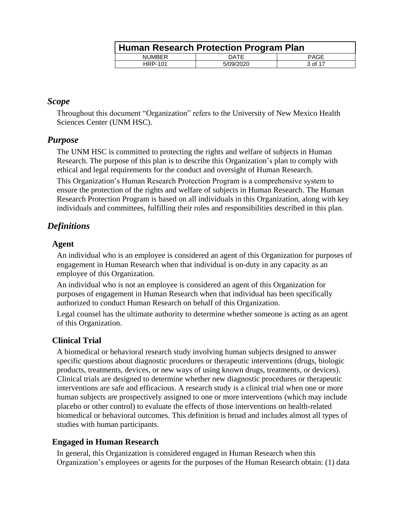|                | Human Research Protection Program Plan |         |  |  |
|----------------|----------------------------------------|---------|--|--|
| <b>NUMBER</b>  | DATE                                   | PAGE    |  |  |
| <b>HRP-101</b> | 5/09/2020                              | 3 of 17 |  |  |

#### <span id="page-2-0"></span>*Scope*

Throughout this document "Organization" refers to the University of New Mexico Health Sciences Center (UNM HSC).

# <span id="page-2-1"></span>*Purpose*

The UNM HSC is committed to protecting the rights and welfare of subjects in Human Research. The purpose of this plan is to describe this Organization's plan to comply with ethical and legal requirements for the conduct and oversight of Human Research.

This Organization's Human Research Protection Program is a comprehensive system to ensure the protection of the rights and welfare of subjects in Human Research. The Human Research Protection Program is based on all individuals in this Organization, along with key individuals and committees, fulfilling their roles and responsibilities described in this plan.

# <span id="page-2-2"></span>*Definitions*

#### <span id="page-2-3"></span>**Agent**

An individual who is an employee is considered an agent of this Organization for purposes of engagement in Human Research when that individual is on-duty in any capacity as an employee of this Organization.

An individual who is not an employee is considered an agent of this Organization for purposes of engagement in Human Research when that individual has been specifically authorized to conduct Human Research on behalf of this Organization.

Legal counsel has the ultimate authority to determine whether someone is acting as an agent of this Organization.

# <span id="page-2-4"></span>**Clinical Trial**

A biomedical or behavioral research study involving human subjects designed to answer specific questions about diagnostic procedures or therapeutic interventions (drugs, biologic products, treatments, devices, or new ways of using known drugs, treatments, or devices). Clinical trials are designed to determine whether new diagnostic procedures or therapeutic interventions are safe and efficacious. A research study is a clinical trial when one or more human subjects are prospectively assigned to one or more interventions (which may include placebo or other control) to evaluate the effects of those interventions on health-related biomedical or behavioral outcomes. This definition is broad and includes almost all types of studies with human participants.

# <span id="page-2-5"></span>**Engaged in Human Research**

In general, this Organization is considered engaged in Human Research when this Organization's employees or agents for the purposes of the Human Research obtain: (1) data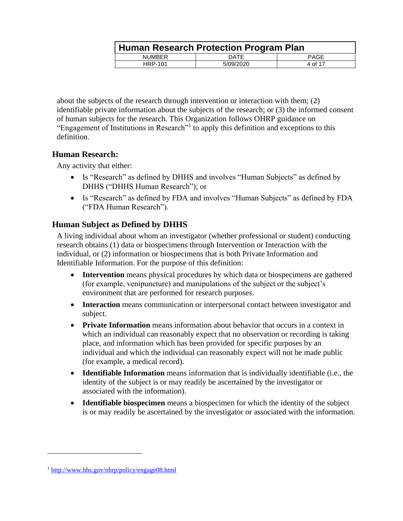|                | <b>Human Research Protection Program Plan</b> |             |  |  |
|----------------|-----------------------------------------------|-------------|--|--|
| <b>NUMBER</b>  | <b>DATE</b>                                   | <b>PAGE</b> |  |  |
| <b>HRP-101</b> | 5/09/2020                                     | 4 of 17     |  |  |

about the subjects of the research through intervention or interaction with them; (2) identifiable private information about the subjects of the research; or (3) the informed consent of human subjects for the research. This Organization follows OHRP guidance on "Engagement of Institutions in Research"<sup>1</sup> to apply this definition and exceptions to this definition.

# <span id="page-3-0"></span>**Human Research:**

Any activity that either:

- Is "Research" as defined by DHHS and involves "Human Subjects" as defined by DHHS ("DHHS Human Research"); or
- Is "Research" as defined by FDA and involves "Human Subjects" as defined by FDA ("FDA Human Research").

# <span id="page-3-1"></span>**Human Subject as Defined by DHHS**

A living individual about whom an investigator (whether professional or student) conducting research obtains (1) data or biospecimens through Intervention or Interaction with the individual, or (2) information or biospecimens that is both Private Information and Identifiable Information. For the purpose of this definition:

- **Intervention** means physical procedures by which data or biospecimens are gathered (for example, venipuncture) and manipulations of the subject or the subject's environment that are performed for research purposes.
- **Interaction** means communication or interpersonal contact between investigator and subject.
- **Private Information** means information about behavior that occurs in a context in which an individual can reasonably expect that no observation or recording is taking place, and information which has been provided for specific purposes by an individual and which the individual can reasonably expect will not be made public (for example, a medical record).
- **Identifiable Information** means information that is individually identifiable (i.e., the identity of the subject is or may readily be ascertained by the investigator or associated with the information).
- **Identifiable biospecimen** means a biospecimen for which the identity of the subject is or may readily be ascertained by the investigator or associated with the information.

 $\overline{a}$ 

<sup>1</sup> <http://www.hhs.gov/ohrp/policy/engage08.html>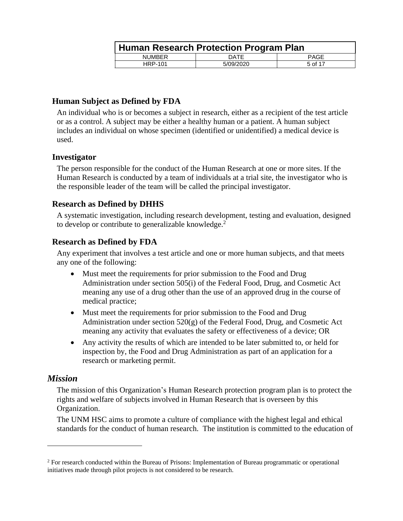|                | Human Research Protection Program Plan |         |  |  |
|----------------|----------------------------------------|---------|--|--|
| <b>NUMBER</b>  | DATE                                   | PAGE    |  |  |
| <b>HRP-101</b> | 5/09/2020                              | 5 of 17 |  |  |

### <span id="page-4-0"></span>**Human Subject as Defined by FDA**

An individual who is or becomes a subject in research, either as a recipient of the test article or as a control. A subject may be either a healthy human or a patient. A human subject includes an individual on whose specimen (identified or unidentified) a medical device is used.

#### <span id="page-4-1"></span>**Investigator**

The person responsible for the conduct of the Human Research at one or more sites. If the Human Research is conducted by a team of individuals at a trial site, the investigator who is the responsible leader of the team will be called the principal investigator.

# <span id="page-4-2"></span>**Research as Defined by DHHS**

A systematic investigation, including research development, testing and evaluation, designed to develop or contribute to generalizable knowledge.<sup>2</sup>

# <span id="page-4-3"></span>**Research as Defined by FDA**

Any experiment that involves a test article and one or more human subjects, and that meets any one of the following:

- Must meet the requirements for prior submission to the Food and Drug Administration under section 505(i) of the Federal Food, Drug, and Cosmetic Act meaning any use of a drug other than the use of an approved drug in the course of medical practice;
- Must meet the requirements for prior submission to the Food and Drug Administration under section 520(g) of the Federal Food, Drug, and Cosmetic Act meaning any activity that evaluates the safety or effectiveness of a device; OR
- Any activity the results of which are intended to be later submitted to, or held for inspection by, the Food and Drug Administration as part of an application for a research or marketing permit.

# <span id="page-4-4"></span>*Mission*

 $\overline{a}$ 

The mission of this Organization's Human Research protection program plan is to protect the rights and welfare of subjects involved in Human Research that is overseen by this Organization.

The UNM HSC aims to promote a culture of compliance with the highest legal and ethical standards for the conduct of human research. The institution is committed to the education of

<sup>&</sup>lt;sup>2</sup> For research conducted within the Bureau of Prisons: Implementation of Bureau programmatic or operational initiatives made through pilot projects is not considered to be research.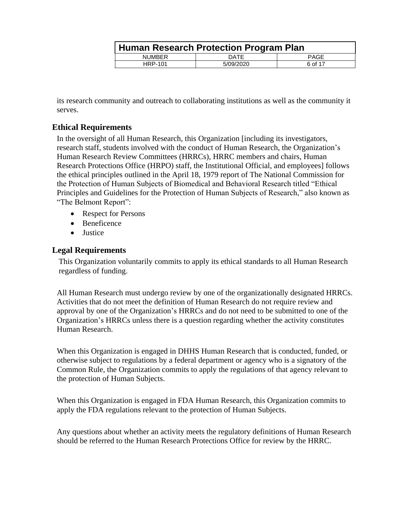|                | Human Research Protection Program Plan |         |  |  |  |
|----------------|----------------------------------------|---------|--|--|--|
| <b>NUMBER</b>  | DATE                                   | PAGE    |  |  |  |
| <b>HRP-101</b> | 5/09/2020                              | 6 of 17 |  |  |  |

its research community and outreach to collaborating institutions as well as the community it serves.

# <span id="page-5-0"></span>**Ethical Requirements**

In the oversight of all Human Research, this Organization [including its investigators, research staff, students involved with the conduct of Human Research, the Organization's Human Research Review Committees (HRRCs), HRRC members and chairs, Human Research Protections Office (HRPO) staff, the Institutional Official, and employees] follows the ethical principles outlined in the April 18, 1979 report of The National Commission for the Protection of Human Subjects of Biomedical and Behavioral Research titled "Ethical Principles and Guidelines for the Protection of Human Subjects of Research," also known as "The Belmont Report":

- Respect for Persons
- Beneficence
- **•** Justice

#### <span id="page-5-1"></span>**Legal Requirements**

This Organization voluntarily commits to apply its ethical standards to all Human Research regardless of funding.

All Human Research must undergo review by one of the organizationally designated HRRCs. Activities that do not meet the definition of Human Research do not require review and approval by one of the Organization's HRRCs and do not need to be submitted to one of the Organization's HRRCs unless there is a question regarding whether the activity constitutes Human Research.

When this Organization is engaged in DHHS Human Research that is conducted, funded, or otherwise subject to regulations by a federal department or agency who is a signatory of the Common Rule, the Organization commits to apply the regulations of that agency relevant to the protection of Human Subjects.

When this Organization is engaged in FDA Human Research, this Organization commits to apply the FDA regulations relevant to the protection of Human Subjects.

Any questions about whether an activity meets the regulatory definitions of Human Research should be referred to the Human Research Protections Office for review by the HRRC.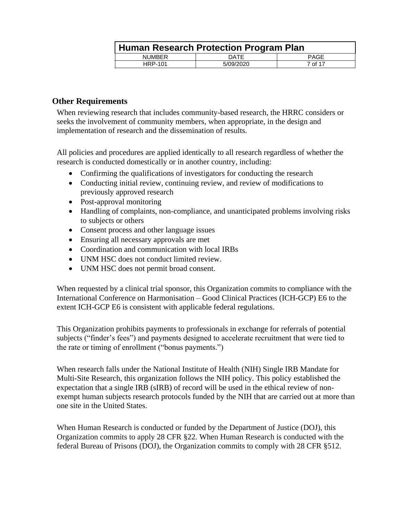|                | Human Research Protection Program Plan |         |  |  |
|----------------|----------------------------------------|---------|--|--|
| <b>NUMBER</b>  | DATE                                   | PAGE    |  |  |
| <b>HRP-101</b> | 5/09/2020                              | 7 of 17 |  |  |

#### <span id="page-6-0"></span>**Other Requirements**

When reviewing research that includes community-based research, the HRRC considers or seeks the involvement of community members, when appropriate, in the design and implementation of research and the dissemination of results.

All policies and procedures are applied identically to all research regardless of whether the research is conducted domestically or in another country, including:

- Confirming the qualifications of investigators for conducting the research
- Conducting initial review, continuing review, and review of modifications to previously approved research
- Post-approval monitoring
- Handling of complaints, non-compliance, and unanticipated problems involving risks to subjects or others
- Consent process and other language issues
- Ensuring all necessary approvals are met
- Coordination and communication with local IRBs
- UNM HSC does not conduct limited review.
- UNM HSC does not permit broad consent.

When requested by a clinical trial sponsor, this Organization commits to compliance with the International Conference on Harmonisation – Good Clinical Practices (ICH-GCP) E6 to the extent ICH-GCP E6 is consistent with applicable federal regulations.

This Organization prohibits payments to professionals in exchange for referrals of potential subjects ("finder's fees") and payments designed to accelerate recruitment that were tied to the rate or timing of enrollment ("bonus payments.")

When research falls under the National Institute of Health (NIH) Single IRB Mandate for Multi-Site Research, this organization follows the NIH policy. This policy established the expectation that a single IRB (sIRB) of record will be used in the ethical review of nonexempt human subjects research protocols funded by the NIH that are carried out at more than one site in the United States.

When Human Research is conducted or funded by the Department of Justice (DOJ), this Organization commits to apply 28 CFR §22. When Human Research is conducted with the federal Bureau of Prisons (DOJ), the Organization commits to comply with 28 CFR §512.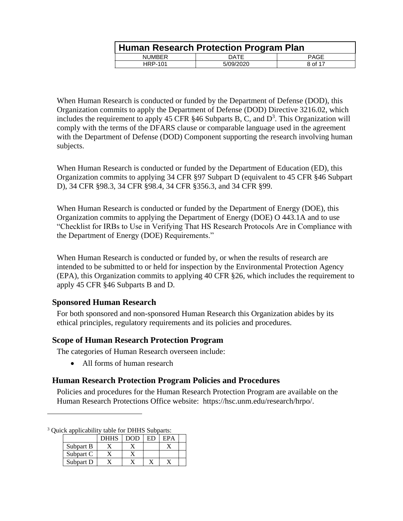|               | Human Research Protection Program Plan |             |  |  |
|---------------|----------------------------------------|-------------|--|--|
| <b>NUMBER</b> | DATE                                   | <b>PAGE</b> |  |  |
| HRP-101       | 5/09/2020                              | 8 of 17     |  |  |

When Human Research is conducted or funded by the Department of Defense (DOD), this Organization commits to apply the Department of Defense (DOD) Directive 3216.02, which includes the requirement to apply 45 CFR  $§$ 46 Subparts B, C, and D<sup>3</sup>. This Organization will comply with the terms of the DFARS clause or comparable language used in the agreement with the Department of Defense (DOD) Component supporting the research involving human subjects.

When Human Research is conducted or funded by the Department of Education (ED), this Organization commits to applying 34 CFR §97 Subpart D (equivalent to 45 CFR §46 Subpart D), 34 CFR §98.3, 34 CFR §98.4, 34 CFR §356.3, and 34 CFR §99.

When Human Research is conducted or funded by the Department of Energy (DOE), this Organization commits to applying the Department of Energy (DOE) O 443.1A and to use "Checklist for IRBs to Use in Verifying That HS Research Protocols Are in Compliance with the Department of Energy (DOE) Requirements."

When Human Research is conducted or funded by, or when the results of research are intended to be submitted to or held for inspection by the Environmental Protection Agency (EPA), this Organization commits to applying 40 CFR §26, which includes the requirement to apply 45 CFR §46 Subparts B and D.

# <span id="page-7-0"></span>**Sponsored Human Research**

For both sponsored and non-sponsored Human Research this Organization abides by its ethical principles, regulatory requirements and its policies and procedures.

# <span id="page-7-1"></span>**Scope of Human Research Protection Program**

The categories of Human Research overseen include:

• All forms of human research

#### <span id="page-7-2"></span>**Human Research Protection Program Policies and Procedures**

Policies and procedures for the Human Research Protection Program are available on the Human Research Protections Office website: https://hsc.unm.edu/research/hrpo/.

 $\overline{a}$ 

|           | <b>DHHS</b> | DOD | FPA |  |
|-----------|-------------|-----|-----|--|
| Subpart B |             |     |     |  |
| Subpart C |             |     |     |  |
| Subpart D |             |     |     |  |

<sup>&</sup>lt;sup>3</sup> Quick applicability table for DHHS Subparts: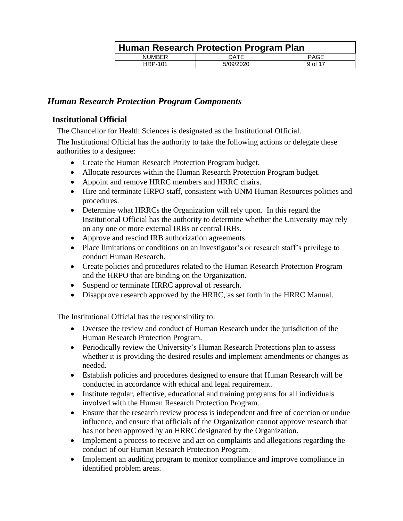|                | Human Research Protection Program Plan |             |  |  |
|----------------|----------------------------------------|-------------|--|--|
| <b>NUMBER</b>  | DATE                                   | <b>PAGE</b> |  |  |
| <b>HRP-101</b> | 5/09/2020                              | 9 of 17     |  |  |

# <span id="page-8-0"></span>*Human Research Protection Program Components*

#### <span id="page-8-1"></span>**Institutional Official**

The Chancellor for Health Sciences is designated as the Institutional Official.

The Institutional Official has the authority to take the following actions or delegate these authorities to a designee:

- Create the Human Research Protection Program budget.
- Allocate resources within the Human Research Protection Program budget.
- Appoint and remove HRRC members and HRRC chairs.
- Hire and terminate HRPO staff, consistent with UNM Human Resources policies and procedures.
- Determine what HRRCs the Organization will rely upon. In this regard the Institutional Official has the authority to determine whether the University may rely on any one or more external IRBs or central IRBs.
- Approve and rescind IRB authorization agreements.
- Place limitations or conditions on an investigator's or research staff's privilege to conduct Human Research.
- Create policies and procedures related to the Human Research Protection Program and the HRPO that are binding on the Organization.
- Suspend or terminate HRRC approval of research.
- Disapprove research approved by the HRRC, as set forth in the HRRC Manual.

The Institutional Official has the responsibility to:

- Oversee the review and conduct of Human Research under the jurisdiction of the Human Research Protection Program.
- Periodically review the University's Human Research Protections plan to assess whether it is providing the desired results and implement amendments or changes as needed.
- Establish policies and procedures designed to ensure that Human Research will be conducted in accordance with ethical and legal requirement.
- Institute regular, effective, educational and training programs for all individuals involved with the Human Research Protection Program.
- Ensure that the research review process is independent and free of coercion or undue influence, and ensure that officials of the Organization cannot approve research that has not been approved by an HRRC designated by the Organization.
- Implement a process to receive and act on complaints and allegations regarding the conduct of our Human Research Protection Program.
- Implement an auditing program to monitor compliance and improve compliance in identified problem areas.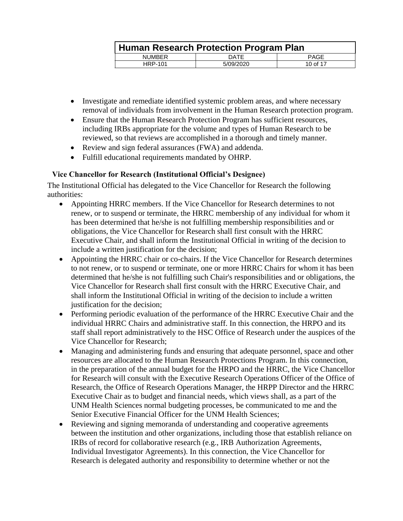|                | Human Research Protection Program Plan |             |  |  |
|----------------|----------------------------------------|-------------|--|--|
| <b>NUMBER</b>  | DATE                                   | <b>PAGE</b> |  |  |
| <b>HRP-101</b> | 5/09/2020                              | 10 of 17    |  |  |

- Investigate and remediate identified systemic problem areas, and where necessary removal of individuals from involvement in the Human Research protection program.
- Ensure that the Human Research Protection Program has sufficient resources, including IRBs appropriate for the volume and types of Human Research to be reviewed, so that reviews are accomplished in a thorough and timely manner.
- Review and sign federal assurances (FWA) and addenda.
- Fulfill educational requirements mandated by OHRP.

#### <span id="page-9-0"></span>**Vice Chancellor for Research (Institutional Official's Designee)**

The Institutional Official has delegated to the Vice Chancellor for Research the following authorities:

- Appointing HRRC members. If the Vice Chancellor for Research determines to not renew, or to suspend or terminate, the HRRC membership of any individual for whom it has been determined that he/she is not fulfilling membership responsibilities and or obligations, the Vice Chancellor for Research shall first consult with the HRRC Executive Chair, and shall inform the Institutional Official in writing of the decision to include a written justification for the decision;
- Appointing the HRRC chair or co-chairs. If the Vice Chancellor for Research determines to not renew, or to suspend or terminate, one or more HRRC Chairs for whom it has been determined that he/she is not fulfilling such Chair's responsibilities and or obligations, the Vice Chancellor for Research shall first consult with the HRRC Executive Chair, and shall inform the Institutional Official in writing of the decision to include a written justification for the decision;
- Performing periodic evaluation of the performance of the HRRC Executive Chair and the individual HRRC Chairs and administrative staff. In this connection, the HRPO and its staff shall report administratively to the HSC Office of Research under the auspices of the Vice Chancellor for Research;
- Managing and administering funds and ensuring that adequate personnel, space and other resources are allocated to the Human Research Protections Program. In this connection, in the preparation of the annual budget for the HRPO and the HRRC, the Vice Chancellor for Research will consult with the Executive Research Operations Officer of the Office of Research, the Office of Research Operations Manager, the HRPP Director and the HRRC Executive Chair as to budget and financial needs, which views shall, as a part of the UNM Health Sciences normal budgeting processes, be communicated to me and the Senior Executive Financial Officer for the UNM Health Sciences;
- Reviewing and signing memoranda of understanding and cooperative agreements between the institution and other organizations, including those that establish reliance on IRBs of record for collaborative research (e.g., IRB Authorization Agreements, Individual Investigator Agreements). In this connection, the Vice Chancellor for Research is delegated authority and responsibility to determine whether or not the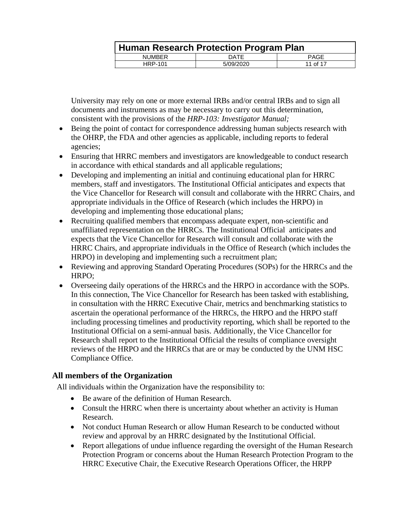|               | Human Research Protection Program Plan |          |  |  |
|---------------|----------------------------------------|----------|--|--|
| <b>NUMBER</b> | DATE                                   | PAGE     |  |  |
| HRP-101       | 5/09/2020                              | 11 of 17 |  |  |

University may rely on one or more external IRBs and/or central IRBs and to sign all documents and instruments as may be necessary to carry out this determination, consistent with the provisions of the *HRP-103: Investigator Manual;*

- Being the point of contact for correspondence addressing human subjects research with the OHRP, the FDA and other agencies as applicable, including reports to federal agencies;
- Ensuring that HRRC members and investigators are knowledgeable to conduct research in accordance with ethical standards and all applicable regulations;
- Developing and implementing an initial and continuing educational plan for HRRC members, staff and investigators. The Institutional Official anticipates and expects that the Vice Chancellor for Research will consult and collaborate with the HRRC Chairs, and appropriate individuals in the Office of Research (which includes the HRPO) in developing and implementing those educational plans;
- Recruiting qualified members that encompass adequate expert, non-scientific and unaffiliated representation on the HRRCs. The Institutional Official anticipates and expects that the Vice Chancellor for Research will consult and collaborate with the HRRC Chairs, and appropriate individuals in the Office of Research (which includes the HRPO) in developing and implementing such a recruitment plan;
- Reviewing and approving Standard Operating Procedures (SOPs) for the HRRCs and the HRPO;
- Overseeing daily operations of the HRRCs and the HRPO in accordance with the SOPs. In this connection, The Vice Chancellor for Research has been tasked with establishing, in consultation with the HRRC Executive Chair, metrics and benchmarking statistics to ascertain the operational performance of the HRRCs, the HRPO and the HRPO staff including processing timelines and productivity reporting, which shall be reported to the Institutional Official on a semi-annual basis. Additionally, the Vice Chancellor for Research shall report to the Institutional Official the results of compliance oversight reviews of the HRPO and the HRRCs that are or may be conducted by the UNM HSC Compliance Office.

# <span id="page-10-0"></span>**All members of the Organization**

All individuals within the Organization have the responsibility to:

- Be aware of the definition of Human Research.
- Consult the HRRC when there is uncertainty about whether an activity is Human Research.
- Not conduct Human Research or allow Human Research to be conducted without review and approval by an HRRC designated by the Institutional Official.
- Report allegations of undue influence regarding the oversight of the Human Research Protection Program or concerns about the Human Research Protection Program to the HRRC Executive Chair, the Executive Research Operations Officer, the HRPP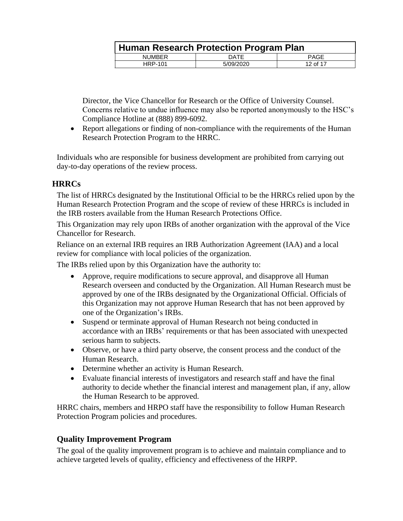|                | Human Research Protection Program Plan |             |  |
|----------------|----------------------------------------|-------------|--|
| <b>NUMBER</b>  | DATE                                   | <b>PAGE</b> |  |
| <b>HRP-101</b> | 5/09/2020                              | 12 of 17    |  |

Director, the Vice Chancellor for Research or the Office of University Counsel. Concerns relative to undue influence may also be reported anonymously to the HSC's Compliance Hotline at (888) 899-6092.

 Report allegations or finding of non-compliance with the requirements of the Human Research Protection Program to the HRRC.

Individuals who are responsible for business development are prohibited from carrying out day-to-day operations of the review process.

# <span id="page-11-0"></span>**HRRCs**

The list of HRRCs designated by the Institutional Official to be the HRRCs relied upon by the Human Research Protection Program and the scope of review of these HRRCs is included in the IRB rosters available from the Human Research Protections Office.

This Organization may rely upon IRBs of another organization with the approval of the Vice Chancellor for Research.

Reliance on an external IRB requires an IRB Authorization Agreement (IAA) and a local review for compliance with local policies of the organization.

The IRBs relied upon by this Organization have the authority to:

- Approve, require modifications to secure approval, and disapprove all Human Research overseen and conducted by the Organization. All Human Research must be approved by one of the IRBs designated by the Organizational Official. Officials of this Organization may not approve Human Research that has not been approved by one of the Organization's IRBs.
- Suspend or terminate approval of Human Research not being conducted in accordance with an IRBs' requirements or that has been associated with unexpected serious harm to subjects.
- Observe, or have a third party observe, the consent process and the conduct of the Human Research.
- Determine whether an activity is Human Research.
- Evaluate financial interests of investigators and research staff and have the final authority to decide whether the financial interest and management plan, if any, allow the Human Research to be approved.

HRRC chairs, members and HRPO staff have the responsibility to follow Human Research Protection Program policies and procedures.

# **Quality Improvement Program**

The goal of the quality improvement program is to achieve and maintain compliance and to achieve targeted levels of quality, efficiency and effectiveness of the HRPP.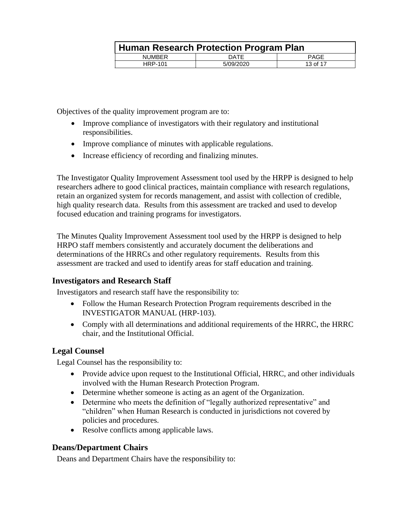| Human Research Protection Program Plan |           |          |  |  |
|----------------------------------------|-----------|----------|--|--|
| <b>NUMBER</b>                          | DATE      | PAGE     |  |  |
| <b>HRP-101</b>                         | 5/09/2020 | 13 of 17 |  |  |

Objectives of the quality improvement program are to:

- Improve compliance of investigators with their regulatory and institutional responsibilities.
- Improve compliance of minutes with applicable regulations.
- Increase efficiency of recording and finalizing minutes.

The Investigator Quality Improvement Assessment tool used by the HRPP is designed to help researchers adhere to good clinical practices, maintain compliance with research regulations, retain an organized system for records management, and assist with collection of credible, high quality research data. Results from this assessment are tracked and used to develop focused education and training programs for investigators.

The Minutes Quality Improvement Assessment tool used by the HRPP is designed to help HRPO staff members consistently and accurately document the deliberations and determinations of the HRRCs and other regulatory requirements. Results from this assessment are tracked and used to identify areas for staff education and training.

#### <span id="page-12-0"></span>**Investigators and Research Staff**

Investigators and research staff have the responsibility to:

- Follow the Human Research Protection Program requirements described in the INVESTIGATOR MANUAL (HRP-103).
- Comply with all determinations and additional requirements of the HRRC, the HRRC chair, and the Institutional Official.

#### <span id="page-12-1"></span>**Legal Counsel**

Legal Counsel has the responsibility to:

- Provide advice upon request to the Institutional Official, HRRC, and other individuals involved with the Human Research Protection Program.
- Determine whether someone is acting as an agent of the Organization.
- Determine who meets the definition of "legally authorized representative" and "children" when Human Research is conducted in jurisdictions not covered by policies and procedures.
- Resolve conflicts among applicable laws.

# <span id="page-12-2"></span>**Deans/Department Chairs**

Deans and Department Chairs have the responsibility to: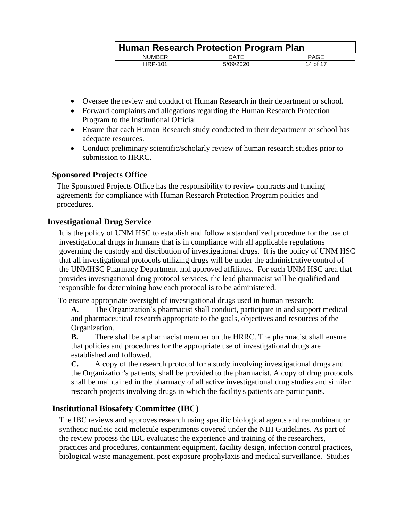|                | Human Research Protection Program Plan |             |  |
|----------------|----------------------------------------|-------------|--|
| <b>NUMBER</b>  | DATE                                   | <b>PAGE</b> |  |
| <b>HRP-101</b> | 5/09/2020                              | 14 of 17    |  |

- Oversee the review and conduct of Human Research in their department or school.
- Forward complaints and allegations regarding the Human Research Protection Program to the Institutional Official.
- Ensure that each Human Research study conducted in their department or school has adequate resources.
- Conduct preliminary scientific/scholarly review of human research studies prior to submission to HRRC.

#### <span id="page-13-0"></span>**Sponsored Projects Office**

The Sponsored Projects Office has the responsibility to review contracts and funding agreements for compliance with Human Research Protection Program policies and procedures.

# <span id="page-13-1"></span>**Investigational Drug Service**

It is the policy of UNM HSC to establish and follow a standardized procedure for the use of investigational drugs in humans that is in compliance with all applicable regulations governing the custody and distribution of investigational drugs. It is the policy of UNM HSC that all investigational protocols utilizing drugs will be under the administrative control of the UNMHSC Pharmacy Department and approved affiliates. For each UNM HSC area that provides investigational drug protocol services, the lead pharmacist will be qualified and responsible for determining how each protocol is to be administered.

To ensure appropriate oversight of investigational drugs used in human research:

**A.** The Organization's pharmacist shall conduct, participate in and support medical and pharmaceutical research appropriate to the goals, objectives and resources of the Organization.

**B.** There shall be a pharmacist member on the HRRC. The pharmacist shall ensure that policies and procedures for the appropriate use of investigational drugs are established and followed.

**C.** A copy of the research protocol for a study involving investigational drugs and the Organization's patients, shall be provided to the pharmacist. A copy of drug protocols shall be maintained in the pharmacy of all active investigational drug studies and similar research projects involving drugs in which the facility's patients are participants.

# <span id="page-13-2"></span>**Institutional Biosafety Committee (IBC)**

The IBC reviews and approves research using specific biological agents and recombinant or synthetic nucleic acid molecule experiments covered under the NIH Guidelines. As part of the review process the IBC evaluates: the experience and training of the researchers, practices and procedures, containment equipment, facility design, infection control practices, biological waste management, post exposure prophylaxis and medical surveillance. Studies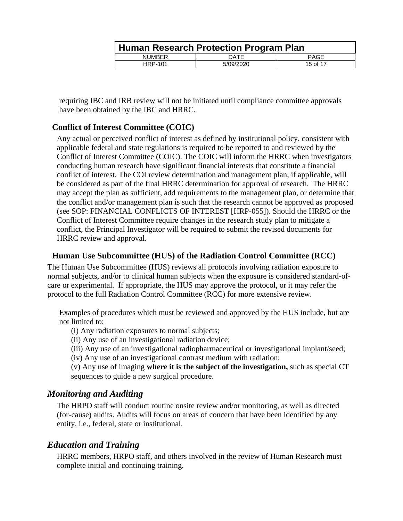|                | Human Research Protection Program Plan |             |  |
|----------------|----------------------------------------|-------------|--|
| <b>NUMBER</b>  | DATE                                   | <b>PAGE</b> |  |
| <b>HRP-101</b> | 5/09/2020                              | 15 of 17    |  |

requiring IBC and IRB review will not be initiated until compliance committee approvals have been obtained by the IBC and HRRC.

# <span id="page-14-0"></span>**Conflict of Interest Committee (COIC)**

Any actual or perceived conflict of interest as defined by institutional policy, consistent with applicable federal and state regulations is required to be reported to and reviewed by the Conflict of Interest Committee (COIC). The COIC will inform the HRRC when investigators conducting human research have significant financial interests that constitute a financial conflict of interest. The COI review determination and management plan, if applicable, will be considered as part of the final HRRC determination for approval of research. The HRRC may accept the plan as sufficient, add requirements to the management plan, or determine that the conflict and/or management plan is such that the research cannot be approved as proposed (see SOP: FINANCIAL CONFLICTS OF INTEREST [HRP-055]). Should the HRRC or the Conflict of Interest Committee require changes in the research study plan to mitigate a conflict, the Principal Investigator will be required to submit the revised documents for HRRC review and approval.

#### <span id="page-14-1"></span>**Human Use Subcommittee (HUS) of the Radiation Control Committee (RCC)**

The Human Use Subcommittee (HUS) reviews all protocols involving radiation exposure to normal subjects, and/or to clinical human subjects when the exposure is considered standard-ofcare or experimental. If appropriate, the HUS may approve the protocol, or it may refer the protocol to the full Radiation Control Committee (RCC) for more extensive review.

Examples of procedures which must be reviewed and approved by the HUS include, but are not limited to:

(i) Any radiation exposures to normal subjects;

(ii) Any use of an investigational radiation device;

(iii) Any use of an investigational radiopharmaceutical or investigational implant/seed;

(iv) Any use of an investigational contrast medium with radiation;

(v) Any use of imaging **where it is the subject of the investigation,** such as special CT sequences to guide a new surgical procedure.

# <span id="page-14-2"></span>*Monitoring and Auditing*

The HRPO staff will conduct routine onsite review and/or monitoring, as well as directed (for-cause) audits. Audits will focus on areas of concern that have been identified by any entity, i.e., federal, state or institutional.

# <span id="page-14-3"></span>*Education and Training*

HRRC members, HRPO staff, and others involved in the review of Human Research must complete initial and continuing training.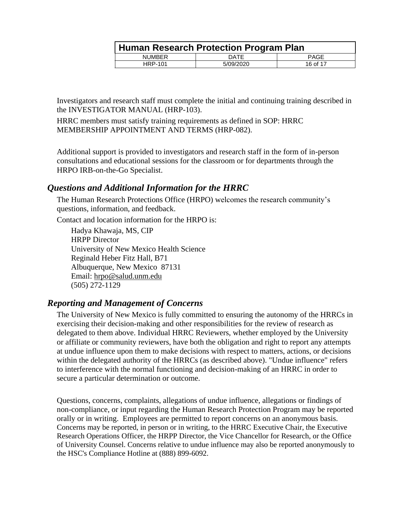|                | Human Research Protection Program Plan |             |  |
|----------------|----------------------------------------|-------------|--|
| <b>NUMBER</b>  | DATE                                   | <b>PAGE</b> |  |
| <b>HRP-101</b> | 5/09/2020                              | 16 of 17    |  |

Investigators and research staff must complete the initial and continuing training described in the INVESTIGATOR MANUAL (HRP-103).

HRRC members must satisfy training requirements as defined in SOP: HRRC MEMBERSHIP APPOINTMENT AND TERMS (HRP-082).

Additional support is provided to investigators and research staff in the form of in-person consultations and educational sessions for the classroom or for departments through the HRPO IRB-on-the-Go Specialist.

# <span id="page-15-0"></span>*Questions and Additional Information for the HRRC*

The Human Research Protections Office (HRPO) welcomes the research community's questions, information, and feedback.

Contact and location information for the HRPO is:

Hadya Khawaja, MS, CIP HRPP Director University of New Mexico Health Science Reginald Heber Fitz Hall, B71 Albuquerque, New Mexico 87131 Email: [hrpo@salud.unm.edu](mailto:organizational_official@institution.com) (505) 272-1129

# <span id="page-15-1"></span>*Reporting and Management of Concerns*

The University of New Mexico is fully committed to ensuring the autonomy of the HRRCs in exercising their decision-making and other responsibilities for the review of research as delegated to them above. Individual HRRC Reviewers, whether employed by the University or affiliate or community reviewers, have both the obligation and right to report any attempts at undue influence upon them to make decisions with respect to matters, actions, or decisions within the delegated authority of the HRRCs (as described above). "Undue influence" refers to interference with the normal functioning and decision-making of an HRRC in order to secure a particular determination or outcome.

Questions, concerns, complaints, allegations of undue influence, allegations or findings of non-compliance, or input regarding the Human Research Protection Program may be reported orally or in writing. Employees are permitted to report concerns on an anonymous basis. Concerns may be reported, in person or in writing, to the HRRC Executive Chair, the Executive Research Operations Officer, the HRPP Director, the Vice Chancellor for Research, or the Office of University Counsel. Concerns relative to undue influence may also be reported anonymously to the HSC's Compliance Hotline at (888) 899-6092.